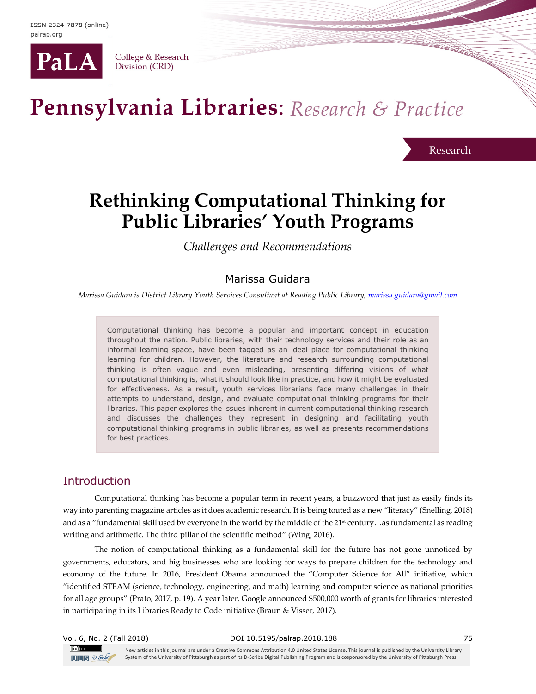

College & Research Division (CRD)

# Pennsylvania Libraries: Research & Practice

Research

# **Rethinking Computational Thinking for Public Libraries' Youth Programs**

*Challenges and Recommendations*

# Marissa Guidara

*Marissa Guidara is District Library Youth Services Consultant at Reading Public Library[, marissa.guidara@gmail.com](mailto:marissa.guidara@gmail.com)*

Computational thinking has become a popular and important concept in education throughout the nation. Public libraries, with their technology services and their role as an informal learning space, have been tagged as an ideal place for computational thinking learning for children. However, the literature and research surrounding computational thinking is often vague and even misleading, presenting differing visions of what computational thinking is, what it should look like in practice, and how it might be evaluated for effectiveness. As a result, youth services librarians face many challenges in their attempts to understand, design, and evaluate computational thinking programs for their libraries. This paper explores the issues inherent in current computational thinking research and discusses the challenges they represent in designing and facilitating youth computational thinking programs in public libraries, as well as presents recommendations for best practices.

# **Introduction**

Computational thinking has become a popular term in recent years, a buzzword that just as easily finds its way into parenting magazine articles as it does academic research. It is being touted as a new "literacy" (Snelling, 2018) and as a "fundamental skill used by everyone in the world by the middle of the 21st century...as fundamental as reading writing and arithmetic. The third pillar of the scientific method" (Wing, 2016).

The notion of computational thinking as a fundamental skill for the future has not gone unnoticed by governments, educators, and big businesses who are looking for ways to prepare children for the technology and economy of the future. In 2016, President Obama announced the "Computer Science for All" initiative, which "identified STEAM (science, technology, engineering, and math) learning and computer science as national priorities for all age groups" (Prato, 2017, p. 19). A year later, Google announced \$500,000 worth of grants for libraries interested in participating in its Libraries Ready to Code initiative (Braun & Visser, 2017).

| Vol. 6, No. 2 (Fall 2018)            | DOI 10.5195/palrap.2018.188                                                                                                                          | 75 |
|--------------------------------------|------------------------------------------------------------------------------------------------------------------------------------------------------|----|
| $\left( $ cc $\right)$ and $\left( $ | New articles in this journal are under a Creative Commons Attribution 4.0 United States License. This journal is published by the University Library |    |
| $UIIIS$ $2$ -Sole                    | System of the University of Pittsburgh as part of its D-Scribe Digital Publishing Program and is cosponsored by the University of Pittsburgh Press.  |    |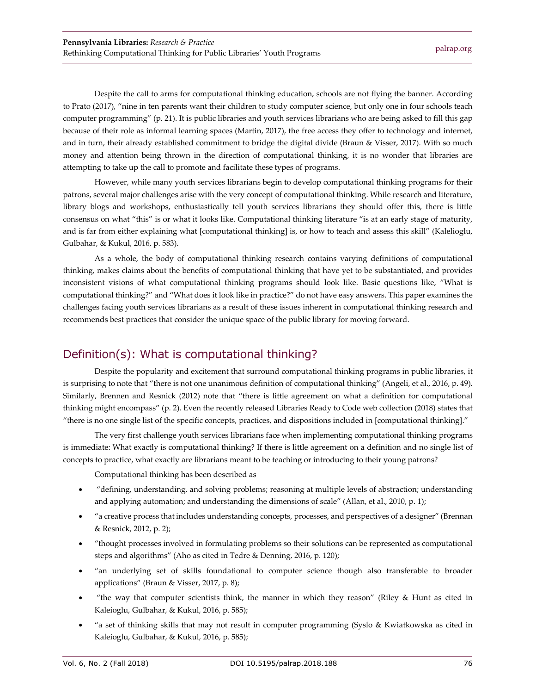Despite the call to arms for computational thinking education, schools are not flying the banner. According to Prato (2017), "nine in ten parents want their children to study computer science, but only one in four schools teach computer programming" (p. 21). It is public libraries and youth services librarians who are being asked to fill this gap because of their role as informal learning spaces (Martin, 2017), the free access they offer to technology and internet, and in turn, their already established commitment to bridge the digital divide (Braun & Visser, 2017). With so much money and attention being thrown in the direction of computational thinking, it is no wonder that libraries are attempting to take up the call to promote and facilitate these types of programs.

However, while many youth services librarians begin to develop computational thinking programs for their patrons, several major challenges arise with the very concept of computational thinking. While research and literature, library blogs and workshops, enthusiastically tell youth services librarians they should offer this, there is little consensus on what "this" is or what it looks like. Computational thinking literature "is at an early stage of maturity, and is far from either explaining what [computational thinking] is, or how to teach and assess this skill" (Kalelioglu, Gulbahar, & Kukul, 2016, p. 583).

As a whole, the body of computational thinking research contains varying definitions of computational thinking, makes claims about the benefits of computational thinking that have yet to be substantiated, and provides inconsistent visions of what computational thinking programs should look like. Basic questions like, "What is computational thinking?" and "What does it look like in practice?" do not have easy answers. This paper examines the challenges facing youth services librarians as a result of these issues inherent in computational thinking research and recommends best practices that consider the unique space of the public library for moving forward.

# Definition(s): What is computational thinking?

Despite the popularity and excitement that surround computational thinking programs in public libraries, it is surprising to note that "there is not one unanimous definition of computational thinking" (Angeli, et al., 2016, p. 49). Similarly, Brennen and Resnick (2012) note that "there is little agreement on what a definition for computational thinking might encompass" (p. 2). Even the recently released Libraries Ready to Code web collection (2018) states that "there is no one single list of the specific concepts, practices, and dispositions included in [computational thinking]."

The very first challenge youth services librarians face when implementing computational thinking programs is immediate: What exactly is computational thinking? If there is little agreement on a definition and no single list of concepts to practice, what exactly are librarians meant to be teaching or introducing to their young patrons?

Computational thinking has been described as

- "defining, understanding, and solving problems; reasoning at multiple levels of abstraction; understanding and applying automation; and understanding the dimensions of scale" (Allan, et al., 2010, p. 1);
- "a creative process that includes understanding concepts, processes, and perspectives of a designer" (Brennan & Resnick, 2012, p. 2);
- "thought processes involved in formulating problems so their solutions can be represented as computational steps and algorithms" (Aho as cited in Tedre & Denning, 2016, p. 120);
- "an underlying set of skills foundational to computer science though also transferable to broader applications" (Braun & Visser, 2017, p. 8);
- "the way that computer scientists think, the manner in which they reason" (Riley & Hunt as cited in Kaleioglu, Gulbahar, & Kukul, 2016, p. 585);
- "a set of thinking skills that may not result in computer programming (Syslo & Kwiatkowska as cited in Kaleioglu, Gulbahar, & Kukul, 2016, p. 585);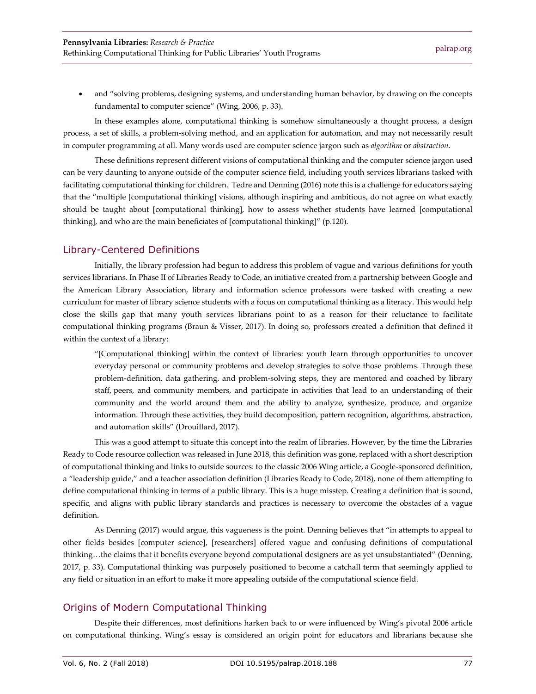• and "solving problems, designing systems, and understanding human behavior, by drawing on the concepts fundamental to computer science" (Wing, 2006, p. 33).

In these examples alone, computational thinking is somehow simultaneously a thought process, a design process, a set of skills, a problem-solving method, and an application for automation, and may not necessarily result in computer programming at all. Many words used are computer science jargon such as *algorithm* or *abstraction*.

These definitions represent different visions of computational thinking and the computer science jargon used can be very daunting to anyone outside of the computer science field, including youth services librarians tasked with facilitating computational thinking for children. Tedre and Denning (2016) note this is a challenge for educators saying that the "multiple [computational thinking] visions, although inspiring and ambitious, do not agree on what exactly should be taught about [computational thinking], how to assess whether students have learned [computational thinking], and who are the main beneficiates of [computational thinking]" (p.120).

#### Library-Centered Definitions

Initially, the library profession had begun to address this problem of vague and various definitions for youth services librarians. In Phase II of Libraries Ready to Code, an initiative created from a partnership between Google and the American Library Association, library and information science professors were tasked with creating a new curriculum for master of library science students with a focus on computational thinking as a literacy. This would help close the skills gap that many youth services librarians point to as a reason for their reluctance to facilitate computational thinking programs (Braun & Visser, 2017). In doing so, professors created a definition that defined it within the context of a library:

"[Computational thinking] within the context of libraries: youth learn through opportunities to uncover everyday personal or community problems and develop strategies to solve those problems. Through these problem-definition, data gathering, and problem-solving steps, they are mentored and coached by library staff, peers, and community members, and participate in activities that lead to an understanding of their community and the world around them and the ability to analyze, synthesize, produce, and organize information. Through these activities, they build decomposition, pattern recognition, algorithms, abstraction, and automation skills" (Drouillard, 2017).

This was a good attempt to situate this concept into the realm of libraries. However, by the time the Libraries Ready to Code resource collection was released in June 2018, this definition was gone, replaced with a short description of computational thinking and links to outside sources: to the classic 2006 Wing article, a Google-sponsored definition, a "leadership guide," and a teacher association definition (Libraries Ready to Code, 2018), none of them attempting to define computational thinking in terms of a public library. This is a huge misstep. Creating a definition that is sound, specific, and aligns with public library standards and practices is necessary to overcome the obstacles of a vague definition.

As Denning (2017) would argue, this vagueness is the point. Denning believes that "in attempts to appeal to other fields besides [computer science], [researchers] offered vague and confusing definitions of computational thinking…the claims that it benefits everyone beyond computational designers are as yet unsubstantiated" (Denning, 2017, p. 33). Computational thinking was purposely positioned to become a catchall term that seemingly applied to any field or situation in an effort to make it more appealing outside of the computational science field.

#### Origins of Modern Computational Thinking

Despite their differences, most definitions harken back to or were influenced by Wing's pivotal 2006 article on computational thinking. Wing's essay is considered an origin point for educators and librarians because she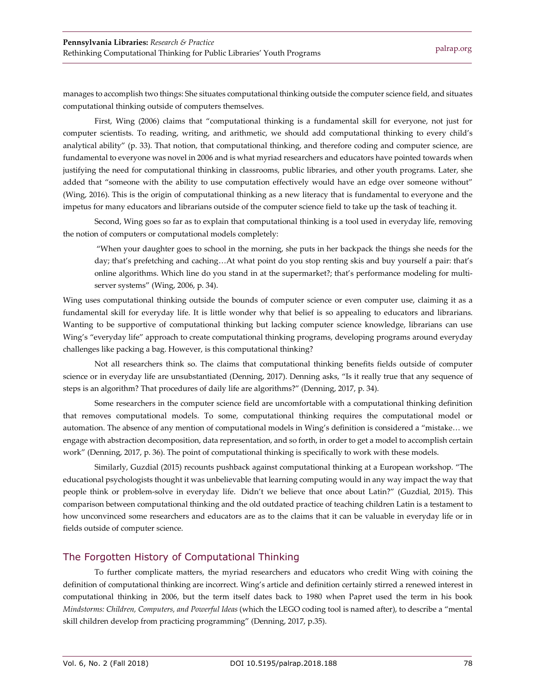manages to accomplish two things: She situates computational thinking outside the computer science field, and situates computational thinking outside of computers themselves.

First, Wing (2006) claims that "computational thinking is a fundamental skill for everyone, not just for computer scientists. To reading, writing, and arithmetic, we should add computational thinking to every child's analytical ability" (p. 33). That notion, that computational thinking, and therefore coding and computer science, are fundamental to everyone was novel in 2006 and is what myriad researchers and educators have pointed towards when justifying the need for computational thinking in classrooms, public libraries, and other youth programs. Later, she added that "someone with the ability to use computation effectively would have an edge over someone without" (Wing, 2016). This is the origin of computational thinking as a new literacy that is fundamental to everyone and the impetus for many educators and librarians outside of the computer science field to take up the task of teaching it.

Second, Wing goes so far as to explain that computational thinking is a tool used in everyday life, removing the notion of computers or computational models completely:

"When your daughter goes to school in the morning, she puts in her backpack the things she needs for the day; that's prefetching and caching…At what point do you stop renting skis and buy yourself a pair: that's online algorithms. Which line do you stand in at the supermarket?; that's performance modeling for multiserver systems" (Wing, 2006, p. 34).

Wing uses computational thinking outside the bounds of computer science or even computer use, claiming it as a fundamental skill for everyday life. It is little wonder why that belief is so appealing to educators and librarians. Wanting to be supportive of computational thinking but lacking computer science knowledge, librarians can use Wing's "everyday life" approach to create computational thinking programs, developing programs around everyday challenges like packing a bag. However, is this computational thinking?

Not all researchers think so. The claims that computational thinking benefits fields outside of computer science or in everyday life are unsubstantiated (Denning, 2017). Denning asks, "Is it really true that any sequence of steps is an algorithm? That procedures of daily life are algorithms?" (Denning, 2017, p. 34).

Some researchers in the computer science field are uncomfortable with a computational thinking definition that removes computational models. To some, computational thinking requires the computational model or automation. The absence of any mention of computational models in Wing's definition is considered a "mistake… we engage with abstraction decomposition, data representation, and so forth, in order to get a model to accomplish certain work" (Denning, 2017, p. 36). The point of computational thinking is specifically to work with these models.

Similarly, Guzdial (2015) recounts pushback against computational thinking at a European workshop. "The educational psychologists thought it was unbelievable that learning computing would in any way impact the way that people think or problem-solve in everyday life. Didn't we believe that once about Latin?" (Guzdial, 2015). This comparison between computational thinking and the old outdated practice of teaching children Latin is a testament to how unconvinced some researchers and educators are as to the claims that it can be valuable in everyday life or in fields outside of computer science.

#### The Forgotten History of Computational Thinking

To further complicate matters, the myriad researchers and educators who credit Wing with coining the definition of computational thinking are incorrect. Wing's article and definition certainly stirred a renewed interest in computational thinking in 2006, but the term itself dates back to 1980 when Papret used the term in his book *Mindstorms: Children, Computers, and Powerful Ideas* (which the LEGO coding tool is named after), to describe a "mental skill children develop from practicing programming" (Denning, 2017, p.35).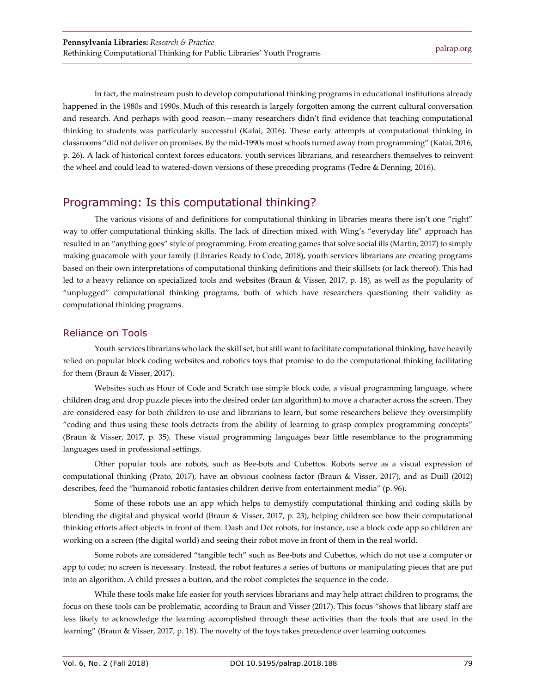In fact, the mainstream push to develop computational thinking programs in educational institutions already happened in the 1980s and 1990s. Much of this research is largely forgotten among the current cultural conversation and research. And perhaps with good reason—many researchers didn't find evidence that teaching computational thinking to students was particularly successful (Kafai, 2016). These early attempts at computational thinking in classrooms "did not deliver on promises. By the mid-1990s most schools turned away from programming" (Kafai, 2016, p. 26). A lack of historical context forces educators, youth services librarians, and researchers themselves to reinvent the wheel and could lead to watered-down versions of these preceding programs (Tedre & Denning, 2016).

# Programming: Is this computational thinking?

The various visions of and definitions for computational thinking in libraries means there isn't one "right" way to offer computational thinking skills. The lack of direction mixed with Wing's "everyday life" approach has resulted in an "anything goes" style of programming. From creating games that solve social ills (Martin, 2017) to simply making guacamole with your family (Libraries Ready to Code, 2018), youth services librarians are creating programs based on their own interpretations of computational thinking definitions and their skillsets (or lack thereof). This had led to a heavy reliance on specialized tools and websites (Braun & Visser, 2017, p. 18), as well as the popularity of "unplugged" computational thinking programs, both of which have researchers questioning their validity as computational thinking programs.

#### Reliance on Tools

Youth services librarians who lack the skill set, but still want to facilitate computational thinking, have heavily relied on popular block coding websites and robotics toys that promise to do the computational thinking facilitating for them (Braun & Visser, 2017).

Websites such as Hour of Code and Scratch use simple block code, a visual programming language, where children drag and drop puzzle pieces into the desired order (an algorithm) to move a character across the screen. They are considered easy for both children to use and librarians to learn, but some researchers believe they oversimplify "coding and thus using these tools detracts from the ability of learning to grasp complex programming concepts" (Braun & Visser, 2017, p. 35). These visual programming languages bear little resemblance to the programming languages used in professional settings.

Other popular tools are robots, such as Bee-bots and Cubettos. Robots serve as a visual expression of computational thinking (Prato, 2017), have an obvious coolness factor (Braun & Visser, 2017), and as Duill (2012) describes, feed the "humanoid robotic fantasies children derive from entertainment media" (p. 96).

Some of these robots use an app which helps to demystify computational thinking and coding skills by blending the digital and physical world (Braun & Visser, 2017, p. 23), helping children see how their computational thinking efforts affect objects in front of them. Dash and Dot robots, for instance, use a block code app so children are working on a screen (the digital world) and seeing their robot move in front of them in the real world.

Some robots are considered "tangible tech" such as Bee-bots and Cubettos, which do not use a computer or app to code; no screen is necessary. Instead, the robot features a series of buttons or manipulating pieces that are put into an algorithm. A child presses a button, and the robot completes the sequence in the code.

While these tools make life easier for youth services librarians and may help attract children to programs, the focus on these tools can be problematic, according to Braun and Visser (2017). This focus "shows that library staff are less likely to acknowledge the learning accomplished through these activities than the tools that are used in the learning" (Braun & Visser, 2017, p. 18). The novelty of the toys takes precedence over learning outcomes.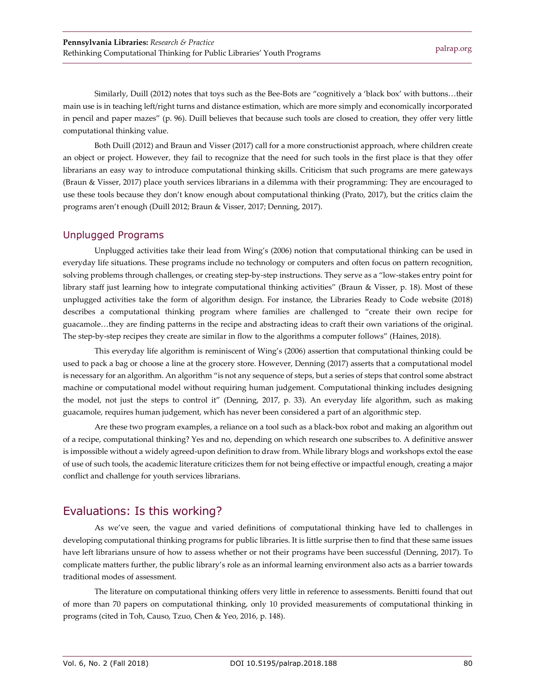Similarly, Duill (2012) notes that toys such as the Bee-Bots are "cognitively a 'black box' with buttons…their main use is in teaching left/right turns and distance estimation, which are more simply and economically incorporated in pencil and paper mazes" (p. 96). Duill believes that because such tools are closed to creation, they offer very little computational thinking value.

Both Duill (2012) and Braun and Visser (2017) call for a more constructionist approach, where children create an object or project. However, they fail to recognize that the need for such tools in the first place is that they offer librarians an easy way to introduce computational thinking skills. Criticism that such programs are mere gateways (Braun & Visser, 2017) place youth services librarians in a dilemma with their programming: They are encouraged to use these tools because they don't know enough about computational thinking (Prato, 2017), but the critics claim the programs aren't enough (Duill 2012; Braun & Visser, 2017; Denning, 2017).

#### Unplugged Programs

Unplugged activities take their lead from Wing's (2006) notion that computational thinking can be used in everyday life situations. These programs include no technology or computers and often focus on pattern recognition, solving problems through challenges, or creating step-by-step instructions. They serve as a "low-stakes entry point for library staff just learning how to integrate computational thinking activities" (Braun & Visser, p. 18). Most of these unplugged activities take the form of algorithm design. For instance, the Libraries Ready to Code website (2018) describes a computational thinking program where families are challenged to "create their own recipe for guacamole…they are finding patterns in the recipe and abstracting ideas to craft their own variations of the original. The step-by-step recipes they create are similar in flow to the algorithms a computer follows" (Haines, 2018).

This everyday life algorithm is reminiscent of Wing's (2006) assertion that computational thinking could be used to pack a bag or choose a line at the grocery store. However, Denning (2017) asserts that a computational model is necessary for an algorithm. An algorithm "is not any sequence of steps, but a series of steps that control some abstract machine or computational model without requiring human judgement. Computational thinking includes designing the model, not just the steps to control it" (Denning, 2017, p. 33). An everyday life algorithm, such as making guacamole, requires human judgement, which has never been considered a part of an algorithmic step.

Are these two program examples, a reliance on a tool such as a black-box robot and making an algorithm out of a recipe, computational thinking? Yes and no, depending on which research one subscribes to. A definitive answer is impossible without a widely agreed-upon definition to draw from. While library blogs and workshops extol the ease of use of such tools, the academic literature criticizes them for not being effective or impactful enough, creating a major conflict and challenge for youth services librarians.

# Evaluations: Is this working?

As we've seen, the vague and varied definitions of computational thinking have led to challenges in developing computational thinking programs for public libraries. It is little surprise then to find that these same issues have left librarians unsure of how to assess whether or not their programs have been successful (Denning, 2017). To complicate matters further, the public library's role as an informal learning environment also acts as a barrier towards traditional modes of assessment.

The literature on computational thinking offers very little in reference to assessments. Benitti found that out of more than 70 papers on computational thinking, only 10 provided measurements of computational thinking in programs (cited in Toh, Causo, Tzuo, Chen & Yeo, 2016, p. 148).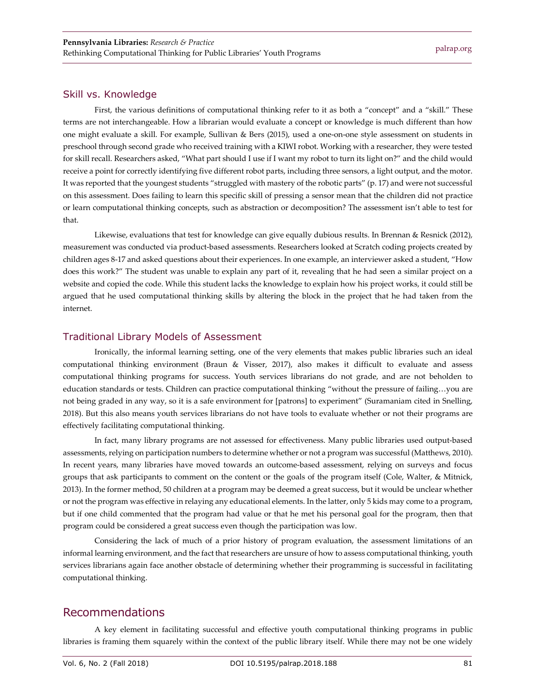#### Skill vs. Knowledge

First, the various definitions of computational thinking refer to it as both a "concept" and a "skill." These terms are not interchangeable. How a librarian would evaluate a concept or knowledge is much different than how one might evaluate a skill. For example, Sullivan & Bers (2015), used a one-on-one style assessment on students in preschool through second grade who received training with a KIWI robot. Working with a researcher, they were tested for skill recall. Researchers asked, "What part should I use if I want my robot to turn its light on?" and the child would receive a point for correctly identifying five different robot parts, including three sensors, a light output, and the motor. It was reported that the youngest students "struggled with mastery of the robotic parts" (p. 17) and were not successful on this assessment. Does failing to learn this specific skill of pressing a sensor mean that the children did not practice or learn computational thinking concepts, such as abstraction or decomposition? The assessment isn't able to test for that.

Likewise, evaluations that test for knowledge can give equally dubious results. In Brennan & Resnick (2012), measurement was conducted via product-based assessments. Researchers looked at Scratch coding projects created by children ages 8-17 and asked questions about their experiences. In one example, an interviewer asked a student, "How does this work?" The student was unable to explain any part of it, revealing that he had seen a similar project on a website and copied the code. While this student lacks the knowledge to explain how his project works, it could still be argued that he used computational thinking skills by altering the block in the project that he had taken from the internet.

#### Traditional Library Models of Assessment

Ironically, the informal learning setting, one of the very elements that makes public libraries such an ideal computational thinking environment (Braun & Visser, 2017), also makes it difficult to evaluate and assess computational thinking programs for success. Youth services librarians do not grade, and are not beholden to education standards or tests. Children can practice computational thinking "without the pressure of failing…you are not being graded in any way, so it is a safe environment for [patrons] to experiment" (Suramaniam cited in Snelling, 2018). But this also means youth services librarians do not have tools to evaluate whether or not their programs are effectively facilitating computational thinking.

In fact, many library programs are not assessed for effectiveness. Many public libraries used output-based assessments, relying on participation numbers to determine whether or not a program was successful (Matthews, 2010). In recent years, many libraries have moved towards an outcome-based assessment, relying on surveys and focus groups that ask participants to comment on the content or the goals of the program itself (Cole, Walter, & Mitnick, 2013). In the former method, 50 children at a program may be deemed a great success, but it would be unclear whether or not the program was effective in relaying any educational elements. In the latter, only 5 kids may come to a program, but if one child commented that the program had value or that he met his personal goal for the program, then that program could be considered a great success even though the participation was low.

Considering the lack of much of a prior history of program evaluation, the assessment limitations of an informal learning environment, and the fact that researchers are unsure of how to assess computational thinking, youth services librarians again face another obstacle of determining whether their programming is successful in facilitating computational thinking.

### Recommendations

A key element in facilitating successful and effective youth computational thinking programs in public libraries is framing them squarely within the context of the public library itself. While there may not be one widely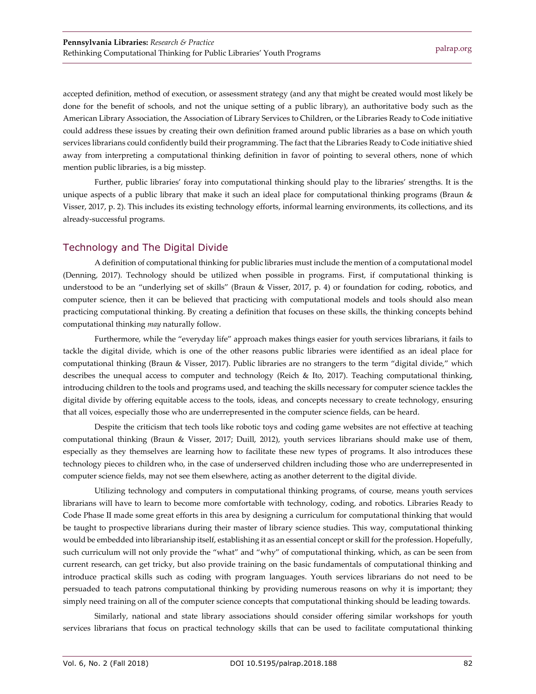accepted definition, method of execution, or assessment strategy (and any that might be created would most likely be done for the benefit of schools, and not the unique setting of a public library), an authoritative body such as the American Library Association, the Association of Library Services to Children, or the Libraries Ready to Code initiative could address these issues by creating their own definition framed around public libraries as a base on which youth services librarians could confidently build their programming. The fact that the Libraries Ready to Code initiative shied away from interpreting a computational thinking definition in favor of pointing to several others, none of which mention public libraries, is a big misstep.

Further, public libraries' foray into computational thinking should play to the libraries' strengths. It is the unique aspects of a public library that make it such an ideal place for computational thinking programs (Braun & Visser, 2017, p. 2). This includes its existing technology efforts, informal learning environments, its collections, and its already-successful programs.

#### Technology and The Digital Divide

A definition of computational thinking for public libraries must include the mention of a computational model (Denning, 2017). Technology should be utilized when possible in programs. First, if computational thinking is understood to be an "underlying set of skills" (Braun & Visser, 2017, p. 4) or foundation for coding, robotics, and computer science, then it can be believed that practicing with computational models and tools should also mean practicing computational thinking. By creating a definition that focuses on these skills, the thinking concepts behind computational thinking *may* naturally follow.

Furthermore, while the "everyday life" approach makes things easier for youth services librarians, it fails to tackle the digital divide, which is one of the other reasons public libraries were identified as an ideal place for computational thinking (Braun & Visser, 2017). Public libraries are no strangers to the term "digital divide," which describes the unequal access to computer and technology (Reich & Ito, 2017). Teaching computational thinking, introducing children to the tools and programs used, and teaching the skills necessary for computer science tackles the digital divide by offering equitable access to the tools, ideas, and concepts necessary to create technology, ensuring that all voices, especially those who are underrepresented in the computer science fields, can be heard.

Despite the criticism that tech tools like robotic toys and coding game websites are not effective at teaching computational thinking (Braun & Visser, 2017; Duill, 2012), youth services librarians should make use of them, especially as they themselves are learning how to facilitate these new types of programs. It also introduces these technology pieces to children who, in the case of underserved children including those who are underrepresented in computer science fields, may not see them elsewhere, acting as another deterrent to the digital divide.

Utilizing technology and computers in computational thinking programs, of course, means youth services librarians will have to learn to become more comfortable with technology, coding, and robotics. Libraries Ready to Code Phase II made some great efforts in this area by designing a curriculum for computational thinking that would be taught to prospective librarians during their master of library science studies. This way, computational thinking would be embedded into librarianship itself, establishing it as an essential concept or skill for the profession. Hopefully, such curriculum will not only provide the "what" and "why" of computational thinking, which, as can be seen from current research, can get tricky, but also provide training on the basic fundamentals of computational thinking and introduce practical skills such as coding with program languages. Youth services librarians do not need to be persuaded to teach patrons computational thinking by providing numerous reasons on why it is important; they simply need training on all of the computer science concepts that computational thinking should be leading towards.

Similarly, national and state library associations should consider offering similar workshops for youth services librarians that focus on practical technology skills that can be used to facilitate computational thinking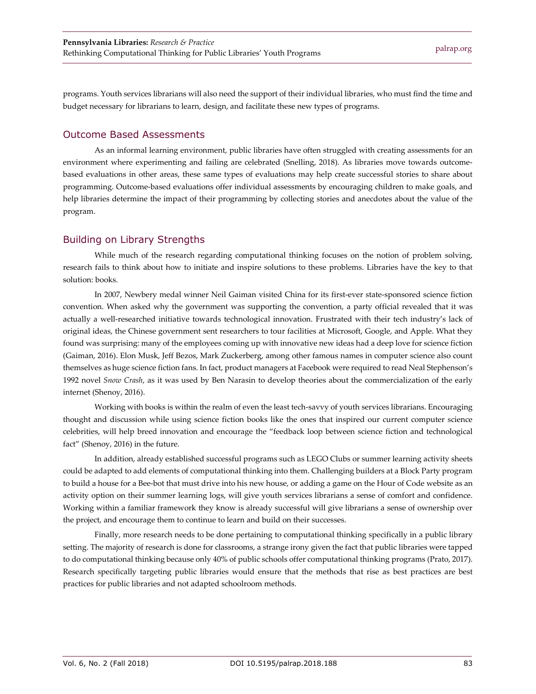programs. Youth services librarians will also need the support of their individual libraries, who must find the time and budget necessary for librarians to learn, design, and facilitate these new types of programs.

#### Outcome Based Assessments

As an informal learning environment, public libraries have often struggled with creating assessments for an environment where experimenting and failing are celebrated (Snelling, 2018). As libraries move towards outcomebased evaluations in other areas, these same types of evaluations may help create successful stories to share about programming. Outcome-based evaluations offer individual assessments by encouraging children to make goals, and help libraries determine the impact of their programming by collecting stories and anecdotes about the value of the program.

#### Building on Library Strengths

While much of the research regarding computational thinking focuses on the notion of problem solving, research fails to think about how to initiate and inspire solutions to these problems. Libraries have the key to that solution: books.

In 2007, Newbery medal winner Neil Gaiman visited China for its first-ever state-sponsored science fiction convention. When asked why the government was supporting the convention, a party official revealed that it was actually a well-researched initiative towards technological innovation. Frustrated with their tech industry's lack of original ideas, the Chinese government sent researchers to tour facilities at Microsoft, Google, and Apple. What they found was surprising: many of the employees coming up with innovative new ideas had a deep love for science fiction (Gaiman, 2016). Elon Musk, Jeff Bezos, Mark Zuckerberg, among other famous names in computer science also count themselves as huge science fiction fans. In fact, product managers at Facebook were required to read Neal Stephenson's 1992 novel *Snow Crash*, as it was used by Ben Narasin to develop theories about the commercialization of the early internet (Shenoy, 2016).

Working with books is within the realm of even the least tech-savvy of youth services librarians. Encouraging thought and discussion while using science fiction books like the ones that inspired our current computer science celebrities, will help breed innovation and encourage the "feedback loop between science fiction and technological fact" (Shenoy, 2016) in the future.

In addition, already established successful programs such as LEGO Clubs or summer learning activity sheets could be adapted to add elements of computational thinking into them. Challenging builders at a Block Party program to build a house for a Bee-bot that must drive into his new house, or adding a game on the Hour of Code website as an activity option on their summer learning logs, will give youth services librarians a sense of comfort and confidence. Working within a familiar framework they know is already successful will give librarians a sense of ownership over the project, and encourage them to continue to learn and build on their successes.

Finally, more research needs to be done pertaining to computational thinking specifically in a public library setting. The majority of research is done for classrooms, a strange irony given the fact that public libraries were tapped to do computational thinking because only 40% of public schools offer computational thinking programs (Prato, 2017). Research specifically targeting public libraries would ensure that the methods that rise as best practices are best practices for public libraries and not adapted schoolroom methods.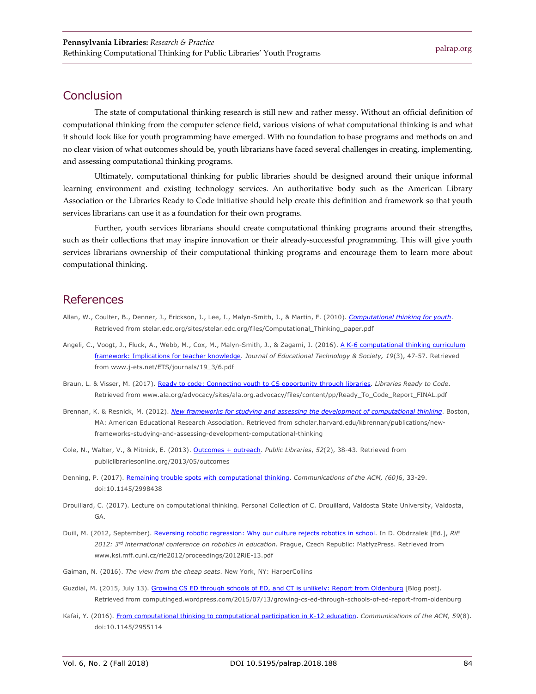#### **Conclusion**

The state of computational thinking research is still new and rather messy. Without an official definition of computational thinking from the computer science field, various visions of what computational thinking is and what it should look like for youth programming have emerged. With no foundation to base programs and methods on and no clear vision of what outcomes should be, youth librarians have faced several challenges in creating, implementing, and assessing computational thinking programs.

Ultimately, computational thinking for public libraries should be designed around their unique informal learning environment and existing technology services. An authoritative body such as the American Library Association or the Libraries Ready to Code initiative should help create this definition and framework so that youth services librarians can use it as a foundation for their own programs.

Further, youth services librarians should create computational thinking programs around their strengths, such as their collections that may inspire innovation or their already-successful programming. This will give youth services librarians ownership of their computational thinking programs and encourage them to learn more about computational thinking.

#### References

- Allan, W., Coulter, B., Denner, J., Erickson, J., Lee, I., Malyn-Smith, J., & Martin, F. (2010). *[Computational thinking for youth](http://stelar.edc.org/sites/stelar.edc.org/files/Computational_Thinking_paper.pdf)*. Retrieved from stelar.edc.org/sites/stelar.edc.org/files/Computational\_Thinking\_paper.pdf
- Angeli, C., Voogt, J., Fluck, A., Webb, M., Cox, M., Malyn-Smith, J., & Zagami, J. (2016). [A K-6 computational thinking curriculum](https://www.j-ets.net/ETS/journals/19_3/6.pdf)  [framework: Implications for teacher knowledge.](https://www.j-ets.net/ETS/journals/19_3/6.pdf) *Journal of Educational Technology & Society, 19*(3), 47-57. Retrieved from www.j-ets.net/ETS/journals/19\_3/6.pdf
- Braun, L. & Visser, M. (2017). [Ready to code: Connecting youth to CS opportunity through libraries.](http://www.ala.org/advocacy/sites/ala.org.advocacy/files/content/pp/Ready_To_Code_Report_FINAL.pdf) *Libraries Ready to Code*. Retrieved from www.ala.org/advocacy/sites/ala.org.advocacy/files/content/pp/Ready\_To\_Code\_Report\_FINAL.pdf
- Brennan, K. & Resnick, M. (2012). *[New frameworks for studying and assessing the development of computational thinking](https://scholar.harvard.edu/kbrennan/publications/new-frameworks-studying-and-assessing-development-computational-thinking)*. Boston, MA: American Educational Research Association. Retrieved from scholar.harvard.edu/kbrennan/publications/newframeworks-studying-and-assessing-development-computational-thinking
- Cole, N., Walter, V., & Mitnick, E. (2013). [Outcomes + outreach.](http://publiclibrariesonline.org/2013/05/outcomes/) *Public Libraries*, *52*(2), 38-43. Retrieved from publiclibrariesonline.org/2013/05/outcomes
- Denning, P. (2017). [Remaining trouble spots with computational thinking.](http://dx.doi.org/10.1145/2998438) *Communications of the ACM, (60)*6, 33-29. doi:10.1145/2998438
- Drouillard, C. (2017). Lecture on computational thinking. Personal Collection of C. Drouillard, Valdosta State University, Valdosta, GA.
- Duill, M. (2012, September). [Reversing robotic regression: Why our culture rejects robotics in school.](http://www.ksi.mff.cuni.cz/rie2012/proceedings/2012RiE-13.pdf) In D. Obdrzalek [Ed.], *RiE 2012: 3rd international conference on robotics in education.* Prague, Czech Republic: MatfyzPress. Retrieved from www.ksi.mff.cuni.cz/rie2012/proceedings/2012RiE-13.pdf
- Gaiman, N. (2016). *The view from the cheap seats*. New York, NY: HarperCollins
- Guzdial, M. (2015, July 13). [Growing CS ED through schools of ED, and CT is unlikely: Report from Oldenburg](https://computinged.wordpress.com/2015/07/13/growing-cs-ed-through-schools-of-ed-report-from-oldenburg/) [Blog post]. Retrieved from computinged.wordpress.com/2015/07/13/growing-cs-ed-through-schools-of-ed-report-from-oldenburg
- Kafai, Y. (2016). [From computational thinking to computational participation in K-12 education.](http://dx.doi.org/10.1145/2955114) *Communications of the ACM, 59*(8). doi:10.1145/2955114